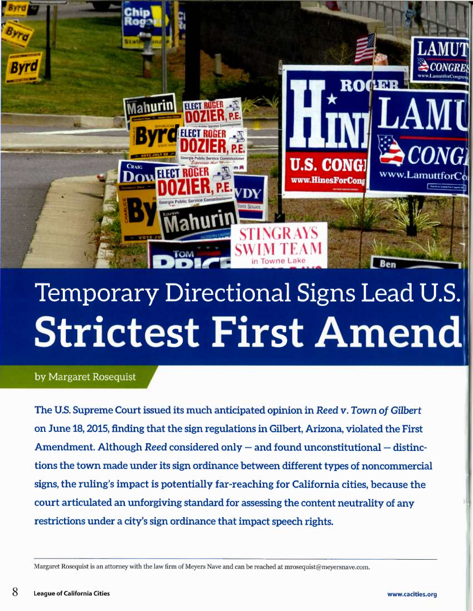

# Temporary Directional Signs Lead U.S. **Strictest First Amend**

by Margaret Rosequist

The U.S. Supreme Court issued its much anticipated opinion in Reed v. Town of Gilbert on June 18, 2015, finding that the sign regulations in Gilbert, Arizona, violated the First Amendment. Although Reed considered only —and found unconstitutional — distinctions the town made under its sign ordinance between different types of noncommercial signs, the ruling's impact is potentially far-reaching for California cities, because the court articulated an unforgiving standard for assessing the content neutrality of any restrictions under a city's sign ordinance that impact speech rights.

Margaret Rosequist is an attorney with the law firm of Meyers Nave and can be reached at mrosequist@meyersnave.com.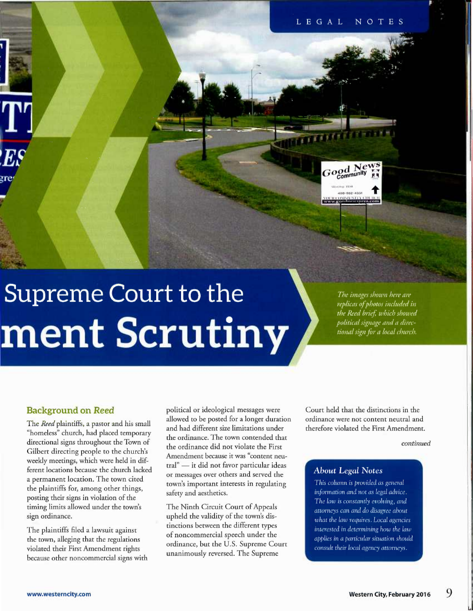# **Supreme Court to the** ment Scrutiny

The images shown here are replicas of photos included in the Reed brief, which showed political signage and a directional sign for a local church.

S  $\frac{d}{dx}$  News

Worthing 10148 180-982-4331

#### Background on Reed

The *Reed* plaintiffs, a pastor and his small "homeless" church, had placed temporary directional signs throughout the Town of Gilbert directing people to the church's weekly meetings, which were held in different locations because the church lacked a permanent location. The town cited the plaintiffs for, among other things, posting their signs in violation of the timing limits allowed under the town's sign ordinance.

The plaintiffs filed a lawsuit against the town, alleging that the regulations violated their First Amendment rights because other noncommercial signs with political or ideological messages were allowed to be posted for a longer duration and had different size limitations under the ordinance. The town contended that the ordinance did not violate the First Amendment because it was "content neutral" — it did not favor particular ideas or messages over others and served the town's important interests in regulating safety and aesthetics.

The Ninth Circuit Court of Appeals upheld the validity of the town's distinctions between the different types of noncommercial speech under the ordinance, but the U.S. Supreme Court unanimously reversed. The Supreme

Court held that the distinctions in the ordinance were not content neutral and therefore violated the First Amendment.

#### continued

#### **About Legal Notes**

This column is provided as general information and not as legal advice. The law is constantly evolving, and attorneys can and do disagree about what the law requires. Local agencies interested in determining how the law applies in a particular situation should consult their local agency attorneys.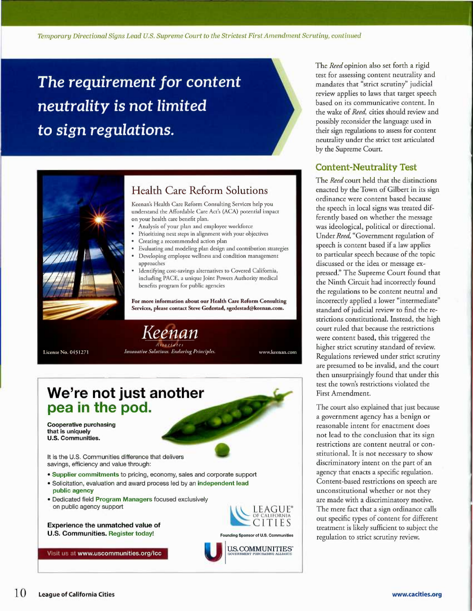Temporary Directional Signs Lead U.S. Supreme Court to the Strictest First Amendment Scrutiny, continued

The requirement for content neutrality is not limited to sign regulations.



### Health Care Reform Solutions

Keenan's Health Care Reform Consulting Services help you understand the Affordable Care Acc's (ACA) potential impact on your health care benefit plan.

- Analysis of your plan and employee workforce
- Prioritizing next steps in alignment with your objectives
- Creating a recommended action plan
- Evaluating and modeling plan design and contribution strategies
- Developing employee wellness and condition management approaches
- Identifying cost-savings alternatives to Covered California, including PACE, a unique Joint Powers Authority medical benefits program for public agencies

For more information about our Health Care Reform Consulting Services, please contact Steve Gedestad, sgedestad@keenan.com.

License No. 0451271

Keenan Innovative Solutions. Enduring Principles.

www.keenan.com



The Reed opinion also set forth a rigid test for assessing content neutrality and mandates that "strict scrutiny" judicial review applies to laws that target speech based on its communicative content. In the wake of Reed, cities should review and possibly reconsider the language used in their sign regulations to assess for content neutrality under the strict test articulated by the Supreme Court.

#### Content-Neutrality Test

The Reed court held that the distinctions enacted by the Town of Gilbert in its sign ordinance were content based because the speech in local signs was treated differently based on whether the message was ideological, political or directional. Under Reed, "Government regulation of speech is content based if a law applies to particular speech because of the topic discussed or the idea or message expressed:' The Supreme Court found that the Ninth Circuit had incorrectly found the regulations to be content neutral and incorrectly applied a lower "intermediate" standard of judicial review to find the restrictions constitutional. Instead, the high court ruled that because the restrictions were content based, this triggered the higher strict scrutiny standard of review. Regulations reviewed under strict scrutiny are presumed to be invalid, and the court then unsurprisingly found that under this test the town's restrictions violated the First Amendment.

The court also explained that just because a government agency has a benign or reasonable intent for enactment does not lead to the conclusion that its sign restrictions are content neutral or constitutional. It is not necessary to show discriminatory intent on the part of an agency that enacts a specific regulation. Content-based restrictions on speech are unconstitutional whether or not they are made with a discriminatory motive. The mere fact that a sign ordinance calls out specific types of content for different treatment is likely sufficient to subject the regulation to strict scrutiny review.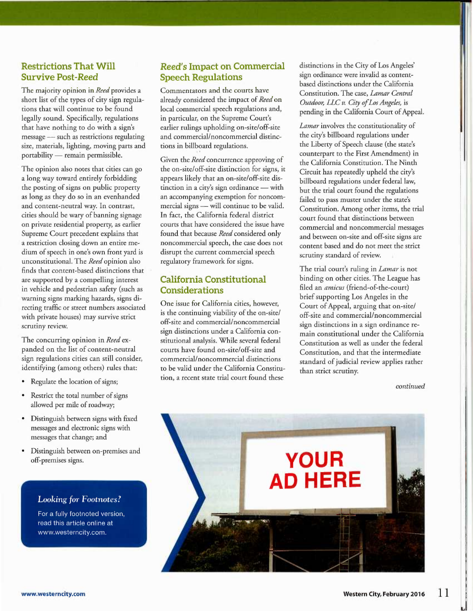#### Restrictions That Will Survive Post-Reed

The majority opinion in Reed provides a short list of the types of city sign regulations that will continue to be found legally sound. Specifically, regulations that have nothing to do with a sign's message — such as restrictions regulating size, materials, lighting, moving parts and portability — remain permissible.

The opinion also notes that cities can go a long way toward entirely forbidding the posting of signs on public property as long as they do so in an evenhanded and content-neutral way. In contrast, cities should be wary of banning signage on private residential property, as earlier Supreme Court precedent explains that a restriction closing down an entire medium of speech in one's own front yard is unconstitutional. The Reed opinion also finds that content-based distinctions that are supported by a compelling interest in vehicle and pedestrian safety (such as warning signs marking hazards, signs directing traffic or street numbers associated with private houses) may survive strict scrutiny review.

The concurring opinion in Reed expanded on the list of content-neutral sign regulations cities can still consider, identifying (among others) rules that:

- Regulate the location of signs;
- Restrict the total number of signs allowed per mile of roadway;
- Distinguish between signs with fixed messages and electronic signs with messages that change; and
- Distinguish between on-premises and off-premises signs.

#### **Looking for Footnotes?**

For a fully footnoted version, read this article online at www.westerncity.com.

#### Reed's Impact on Commercial Speech Regulations

Commentators and the courts have already considered the impact of Reed on local commercial speech regulations and, in particular, on the Supreme Court's earlier rulings upholding on-site/off-site and commercial/noncommercial distinctions in billboard regulations.

Given the Reed concurrence approving of the on-site/off-site distinction for signs, it appears likely that an on-site/off-site distinction in a city's sign ordinance - with an accompanying exemption for noncommercial signs — will continue to be valid. In fact, the California federal district courts that have considered the issue have found that because Reed considered only noncommercial speech, the case does not disrupt the current commercial speech regulatory framework for signs.

### California Constitutional Considerations

One issue for California cities, however, is the continuing viability of the on-site/ off-site and commercial/noncommercial sign distinctions under a California constitutional analysis. While several federal courts have found on-site/off-site and commercial/noncommercial distinctions to be valid under the California Constitution, a recent state trial court found these

distinctions in the City of Los Angeles' sign ordinance were invalid as contentbased distinctions under the California Constitution. The case, Lamar Central Outdoor, LLC v. City of Los Angeles, is pending in the California Court of Appeal.

Lamar involves the constitutionality of the city's billboard regulations under the Liberty of Speech clause (the state's counterpart to the First Amendment) in the California Constitution. The Ninth Circuit has repeatedly upheld the city's billboard regulations under federal law, but the trial court found the regulations failed to pass muster under the state's Constitution. Among other items, the trial court found that distinctions between commercial and noncommercial messages and between on-site and off-site signs are content based and do not meet the strict scrutiny standard of review.

The trial court's ruling in *Lamar* is not binding on other cities. The League has filed an amicus (friend-of-the-court) brief supporting Los Angeles in the Court of Appeal, arguing that on-site/ off-site and commercial/noncommercial sign distinctions in a sign ordinance remain constitutional under the California Constitution as well as under the federal Constitution, and that the intermediate standard of judicial review applies rather than strict scrutiny.

continued